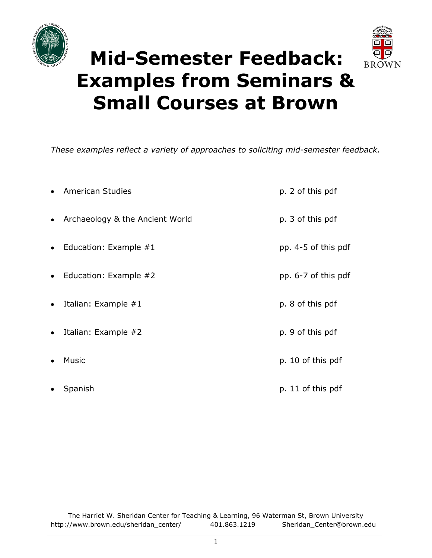



# **Mid-Semester Feedback: Examples from Seminars & Small Courses at Brown**

*These examples reflect a variety of approaches to soliciting mid-semester feedback.* 

|           | • American Studies                | p. 2 of this pdf    |
|-----------|-----------------------------------|---------------------|
|           | • Archaeology & the Ancient World | p. 3 of this pdf    |
|           | • Education: Example $#1$         | pp. 4-5 of this pdf |
|           | • Education: Example $#2$         | pp. 6-7 of this pdf |
| $\bullet$ | Italian: Example $#1$             | p. 8 of this pdf    |
| $\bullet$ | Italian: Example #2               | p. 9 of this pdf    |
| $\bullet$ | Music                             | p. 10 of this pdf   |
|           | Spanish                           | p. 11 of this pdf   |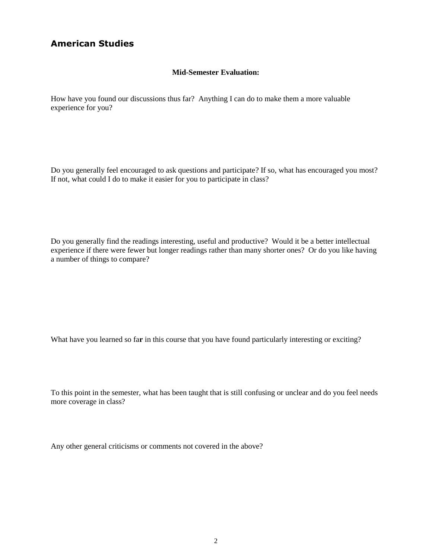### **American Studies**

#### **Mid-Semester Evaluation:**

How have you found our discussions thus far? Anything I can do to make them a more valuable experience for you?

Do you generally feel encouraged to ask questions and participate? If so, what has encouraged you most? If not, what could I do to make it easier for you to participate in class?

Do you generally find the readings interesting, useful and productive? Would it be a better intellectual experience if there were fewer but longer readings rather than many shorter ones? Or do you like having a number of things to compare?

What have you learned so fa**r** in this course that you have found particularly interesting or exciting?

To this point in the semester, what has been taught that is still confusing or unclear and do you feel needs more coverage in class?

Any other general criticisms or comments not covered in the above?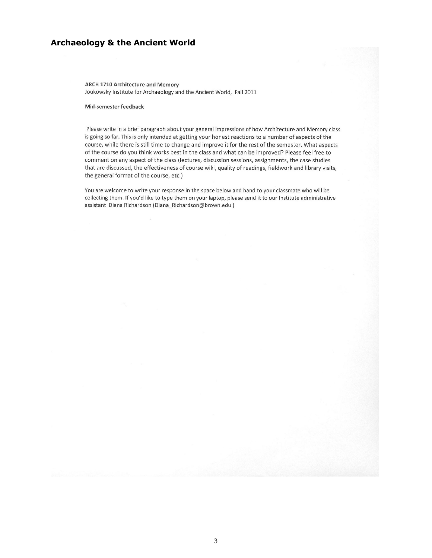### **Archaeology & the Ancient World**

**ARCH 1710 Architecture and Memory** Joukowsky Institute for Archaeology and the Ancient World, Fall 2011

#### Mid-semester feedback

Please write in a brief paragraph about your general impressions of how Architecture and Memory class is going so far. This is only intended at getting your honest reactions to a number of aspects of the course, while there is still time to change and improve it for the rest of the semester. What aspects of the course do you think works best in the class and what can be improved? Please feel free to comment on any aspect of the class (lectures, discussion sessions, assignments, the case studies that are discussed, the effectiveness of course wiki, quality of readings, fieldwork and library visits, the general format of the course, etc.)

You are welcome to write your response in the space below and hand to your classmate who will be collecting them. If you'd like to type them on your laptop, please send it to our Institute administrative assistant Diana Richardson (Diana\_Richardson@brown.edu)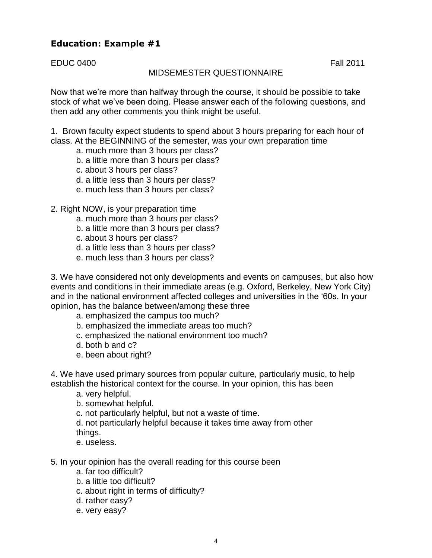# **Education: Example #1**

EDUC 0400 Fall 2011

### MIDSEMESTER QUESTIONNAIRE

Now that we're more than halfway through the course, it should be possible to take stock of what we've been doing. Please answer each of the following questions, and then add any other comments you think might be useful.

1. Brown faculty expect students to spend about 3 hours preparing for each hour of class. At the BEGINNING of the semester, was your own preparation time

- a. much more than 3 hours per class?
- b. a little more than 3 hours per class?
- c. about 3 hours per class?
- d. a little less than 3 hours per class?
- e. much less than 3 hours per class?

2. Right NOW, is your preparation time

- a. much more than 3 hours per class?
- b. a little more than 3 hours per class?
- c. about 3 hours per class?
- d. a little less than 3 hours per class?
- e. much less than 3 hours per class?

3. We have considered not only developments and events on campuses, but also how events and conditions in their immediate areas (e.g. Oxford, Berkeley, New York City) and in the national environment affected colleges and universities in the '60s. In your opinion, has the balance between/among these three

- a. emphasized the campus too much?
- b. emphasized the immediate areas too much?
- c. emphasized the national environment too much?
- d. both b and c?
- e. been about right?

4. We have used primary sources from popular culture, particularly music, to help establish the historical context for the course. In your opinion, this has been

a. very helpful.

b. somewhat helpful.

c. not particularly helpful, but not a waste of time.

d. not particularly helpful because it takes time away from other things.

- e. useless.
- 5. In your opinion has the overall reading for this course been
	- a. far too difficult?
	- b. a little too difficult?
	- c. about right in terms of difficulty?
	- d. rather easy?
	- e. very easy?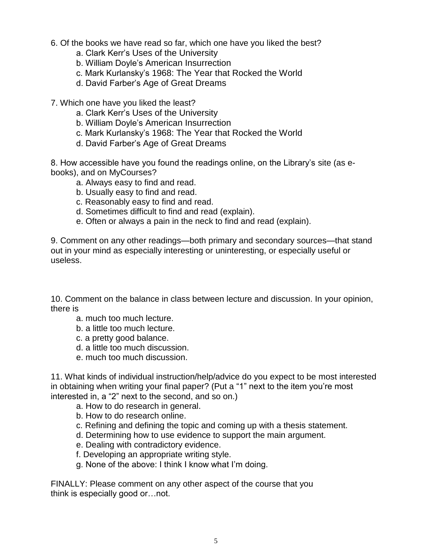- 6. Of the books we have read so far, which one have you liked the best?
	- a. Clark Kerr's Uses of the University
	- b. William Doyle's American Insurrection
	- c. Mark Kurlansky's 1968: The Year that Rocked the World
	- d. David Farber's Age of Great Dreams

7. Which one have you liked the least?

- a. Clark Kerr's Uses of the University
- b. William Doyle's American Insurrection
- c. Mark Kurlansky's 1968: The Year that Rocked the World
- d. David Farber's Age of Great Dreams

8. How accessible have you found the readings online, on the Library's site (as ebooks), and on MyCourses?

- a. Always easy to find and read.
- b. Usually easy to find and read.
- c. Reasonably easy to find and read.
- d. Sometimes difficult to find and read (explain).
- e. Often or always a pain in the neck to find and read (explain).

9. Comment on any other readings—both primary and secondary sources—that stand out in your mind as especially interesting or uninteresting, or especially useful or useless.

10. Comment on the balance in class between lecture and discussion. In your opinion, there is

- a. much too much lecture.
- b. a little too much lecture.
- c. a pretty good balance.
- d. a little too much discussion.
- e. much too much discussion.

11. What kinds of individual instruction/help/advice do you expect to be most interested in obtaining when writing your final paper? (Put a "1" next to the item you're most interested in, a "2" next to the second, and so on.)

- a. How to do research in general.
- b. How to do research online.
- c. Refining and defining the topic and coming up with a thesis statement.
- d. Determining how to use evidence to support the main argument.
- e. Dealing with contradictory evidence.
- f. Developing an appropriate writing style.
- g. None of the above: I think I know what I'm doing.

FINALLY: Please comment on any other aspect of the course that you think is especially good or…not.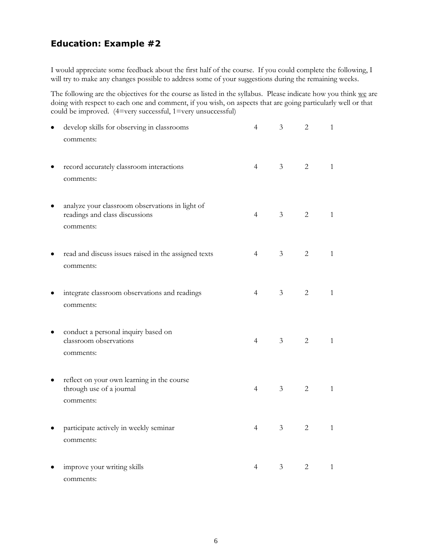## **Education: Example #2**

I would appreciate some feedback about the first half of the course. If you could complete the following, I will try to make any changes possible to address some of your suggestions during the remaining weeks.

The following are the objectives for the course as listed in the syllabus. Please indicate how you think we are doing with respect to each one and comment, if you wish, on aspects that are going particularly well or that could be improved. (4=very successful, 1=very unsuccessful)

|   | develop skills for observing in classrooms<br>comments:                                        | $\overline{4}$ | $\mathfrak{Z}$ | $\mathbf{2}$   | $\mathbf{1}$ |
|---|------------------------------------------------------------------------------------------------|----------------|----------------|----------------|--------------|
|   | record accurately classroom interactions<br>comments:                                          | $\overline{4}$ | 3 <sup>7</sup> | 2              | $\mathbf{1}$ |
|   | analyze your classroom observations in light of<br>readings and class discussions<br>comments: | $\overline{4}$ | 3 <sup>7</sup> | 2              | $\mathbf{1}$ |
|   | read and discuss issues raised in the assigned texts<br>comments:                              | $\overline{4}$ | 3 <sup>7</sup> | 2              | $\mathbf{1}$ |
|   | integrate classroom observations and readings<br>comments:                                     | $\overline{4}$ | 3 <sup>7</sup> | 2              | $\mathbf{1}$ |
|   | conduct a personal inquiry based on<br>classroom observations<br>comments:                     | $\overline{4}$ | 3 <sup>7</sup> | 2              | $\mathbf{1}$ |
| ٠ | reflect on your own learning in the course<br>through use of a journal<br>comments:            | $\overline{4}$ | 3 <sup>7</sup> | 2              | $\mathbf{1}$ |
|   | participate actively in weekly seminar<br>comments:                                            | $\overline{4}$ | 3 <sup>7</sup> | $\overline{2}$ | $\mathbf{1}$ |
|   | improve your writing skills<br>comments:                                                       | $\overline{4}$ | $\mathfrak{Z}$ | 2              | $\mathbf{1}$ |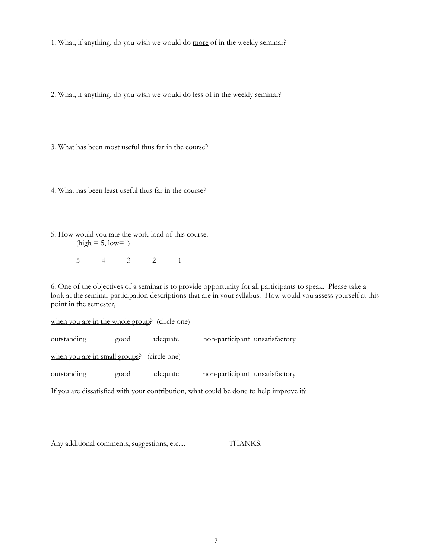1. What, if anything, do you wish we would do more of in the weekly seminar?

2. What, if anything, do you wish we would do less of in the weekly seminar?

3. What has been most useful thus far in the course?

4. What has been least useful thus far in the course?

5. How would you rate the work-load of this course.  $(high = 5, low=1)$ 

5 4 3 2 1

6. One of the objectives of a seminar is to provide opportunity for all participants to speak. Please take a look at the seminar participation descriptions that are in your syllabus. How would you assess yourself at this point in the semester,

when you are in the whole group? (circle one) outstanding good adequate non-participant unsatisfactory when you are in small groups? (circle one) outstanding good adequate non-participant unsatisfactory

If you are dissatisfied with your contribution, what could be done to help improve it?

Any additional comments, suggestions, etc.... THANKS.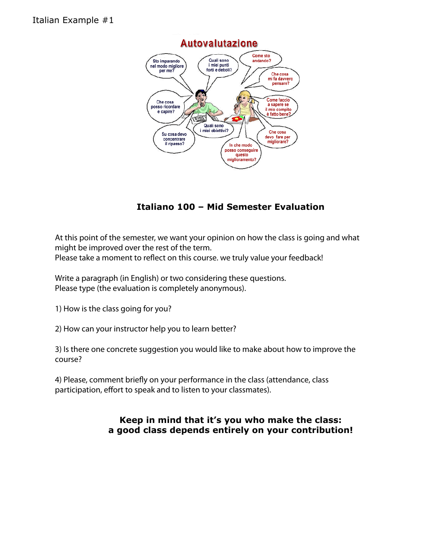

# **Italiano 100 – Mid Semester Evaluation**

At this point of the semester, we want your opinion on how the class is going and what might be improved over the rest of the term. Please take a moment to reflect on this course. we truly value your feedback!

Write a paragraph (in English) or two considering these questions. Please type (the evaluation is completely anonymous).

1) How is the class going for you?

2) How can your instructor help you to learn better?

3) Is there one concrete suggestion you would like to make about how to improve the course?

4) Please, comment briefly on your performance in the class (attendance, class participation, effort to speak and to listen to your classmates).

# **Keep in mind that it's you who make the class: a good class depends entirely on your contribution!**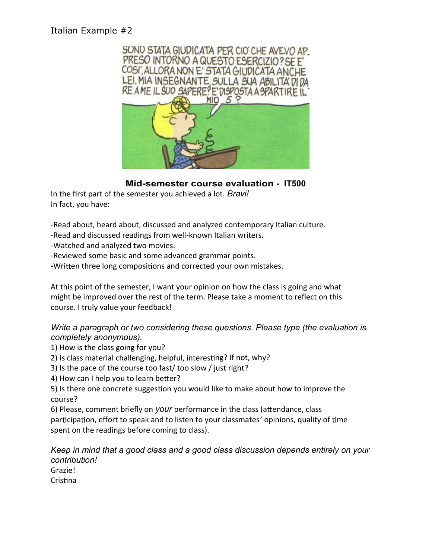# Italian Example #2



### **Mid-semester course evaluation - IT500**

In the first part of the semester you achieved a lot. *Bravi!*  In fact, you have:

-Read about, heard about, discussed and analyzed contemporary Italian culture.

-Read and discussed readings from well-known Italian writers.

-Watched and analyzed two movies.

- -Reviewed some basic and some advanced grammar points.
- -Written three long compositions and corrected your own mistakes.

At this point of the semester, I want your opinion on how the class is going and what might be improved over the rest of the term. Please take a moment to reflect on this course. I truly value your feedback!

### *Write a paragraph or two considering these questions. Please type (the evaluation is completely anonymous).*

1) How is the class going for you?

- 2) Is class material challenging, helpful, interesting? If not, why?
- 3) Is the pace of the course too fast/ too slow / just right?
- 4) How can I help you to learn better?

5) Is there one concrete suggestion you would like to make about how to improve the course?

6) Please, comment briefly on *your* performance in the class (attendance, class participation, effort to speak and to listen to your classmates' opinions, quality of time spent on the readings before coming to class).

*Keep in mind that a good class and a good class discussion depends entirely on your contribution!* 

Grazie! Cristina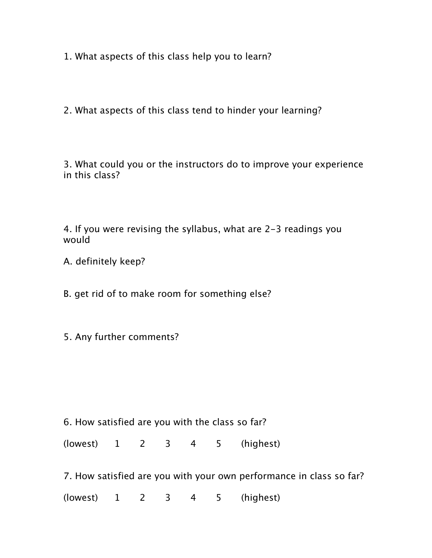1. What aspects of this class help you to learn?

2. What aspects of this class tend to hinder your learning?

3. What could you or the instructors do to improve your experience in this class?

4. If you were revising the syllabus, what are 2-3 readings you would

A. definitely keep?

B. get rid of to make room for something else?

5. Any further comments?

6. How satisfied are you with the class so far?

(lowest) 1 2 3 4 5 (highest)

7. How satisfied are you with your own performance in class so far?

(lowest) 1 2 3 4 5 (highest)